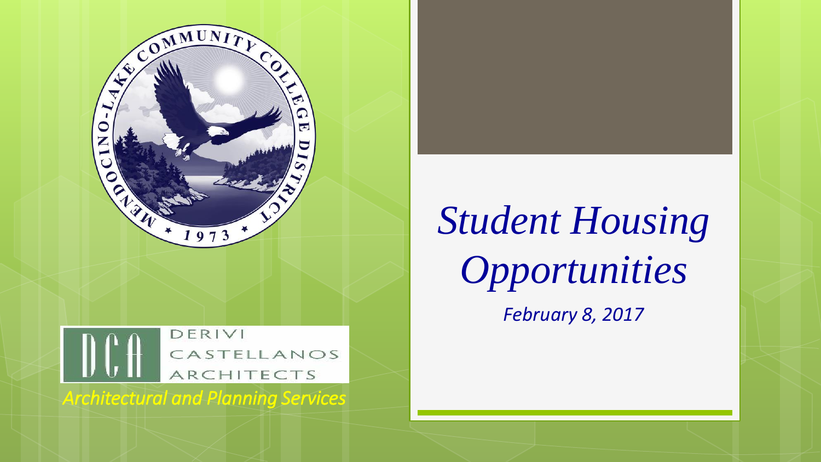

#### DERIVI CASTELLANOS ARCHITECTS

*Architectural and Planning Services*

# *Student Housing Opportunities*

*February 8, 2017*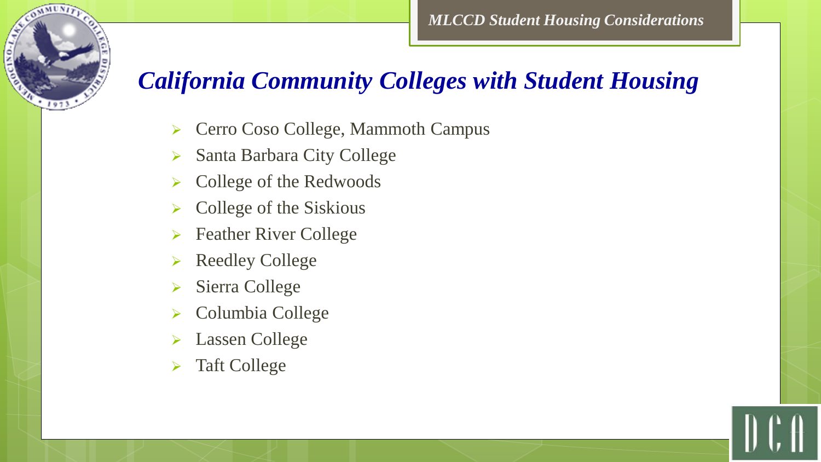#### *California Community Colleges with Student Housing*

- ▶ Cerro Coso College, Mammoth Campus
- Santa Barbara City College
- College of the Redwoods
- $\triangleright$  College of the Siskious
- **► Feather River College**
- Reedley College
- Sierra College

**AMUNI** 

- Columbia College
- Lassen College
- > Taft College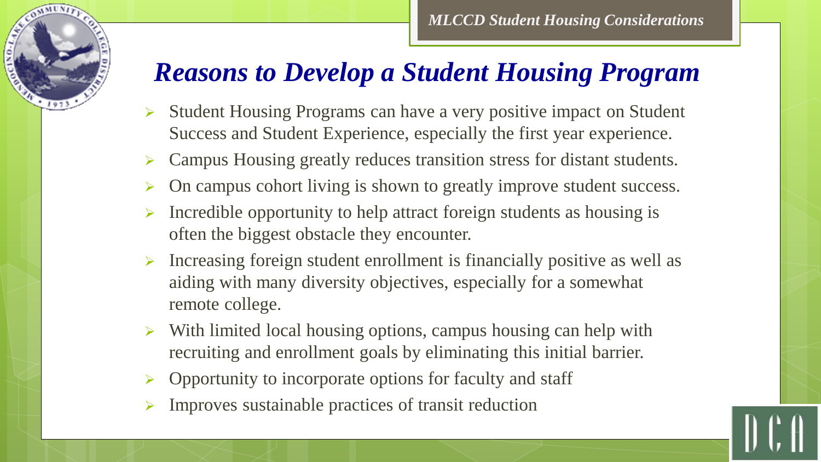

## *Reasons to Develop a Student Housing Program*

- $\triangleright$  Student Housing Programs can have a very positive impact on Student Success and Student Experience, especially the first year experience.
- Campus Housing greatly reduces transition stress for distant students.
- On campus cohort living is shown to greatly improve student success.
- Incredible opportunity to help attract foreign students as housing is often the biggest obstacle they encounter.
- Increasing foreign student enrollment is financially positive as well as aiding with many diversity objectives, especially for a somewhat remote college.
- $\triangleright$  With limited local housing options, campus housing can help with recruiting and enrollment goals by eliminating this initial barrier.
- Opportunity to incorporate options for faculty and staff
- Improves sustainable practices of transit reduction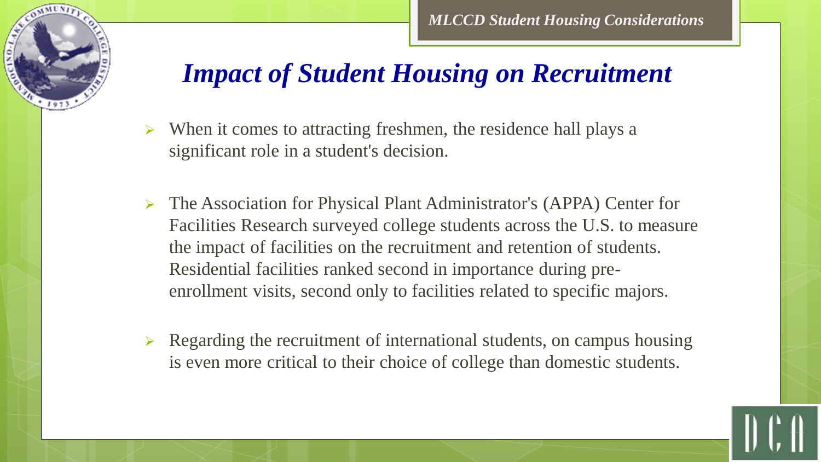

#### *Impact of Student Housing on Recruitment*

- $\triangleright$  When it comes to attracting freshmen, the residence hall plays a significant role in a student's decision.
- The Association for Physical Plant Administrator's (APPA) Center for Facilities Research surveyed college students across the U.S. to measure the impact of facilities on the recruitment and retention of students. Residential facilities ranked second in importance during preenrollment visits, second only to facilities related to specific majors.
- $\triangleright$  Regarding the recruitment of international students, on campus housing is even more critical to their choice of college than domestic students.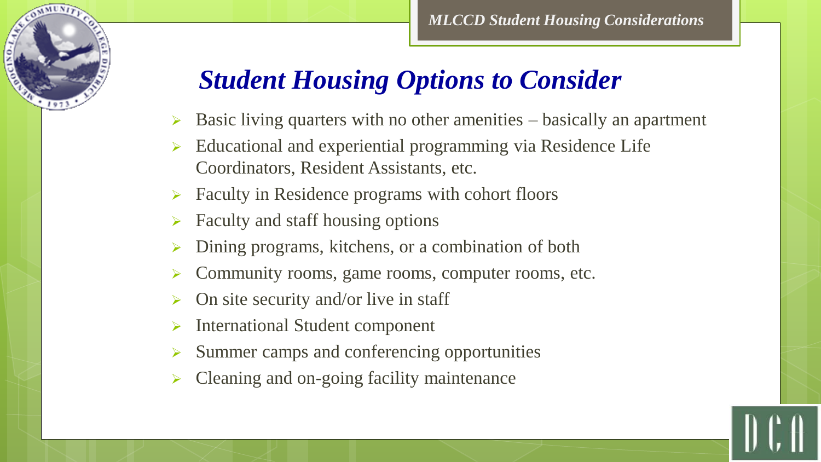## *Student Housing Options to Consider*

- Basic living quarters with no other amenities basically an apartment
- Educational and experiential programming via Residence Life Coordinators, Resident Assistants, etc.
- Faculty in Residence programs with cohort floors
- Faculty and staff housing options
- Dining programs, kitchens, or a combination of both
- Community rooms, game rooms, computer rooms, etc.
- On site security and/or live in staff
- International Student component
- Summer camps and conferencing opportunities
- Cleaning and on-going facility maintenance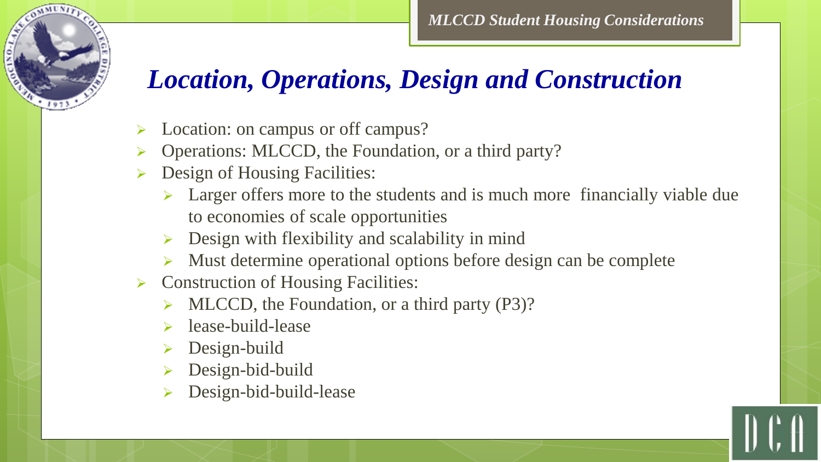## *Location, Operations, Design and Construction*

- Location: on campus or off campus?
- Operations: MLCCD, the Foundation, or a third party?
- Design of Housing Facilities:
	- $\triangleright$  Larger offers more to the students and is much more financially viable due to economies of scale opportunities
	- Design with flexibility and scalability in mind
	- Must determine operational options before design can be complete
- $\triangleright$  Construction of Housing Facilities:
	- MLCCD, the Foundation, or a third party (P3)?
	- lease-build-lease
	- Design-build
	- Design-bid-build
	- Design-bid-build-lease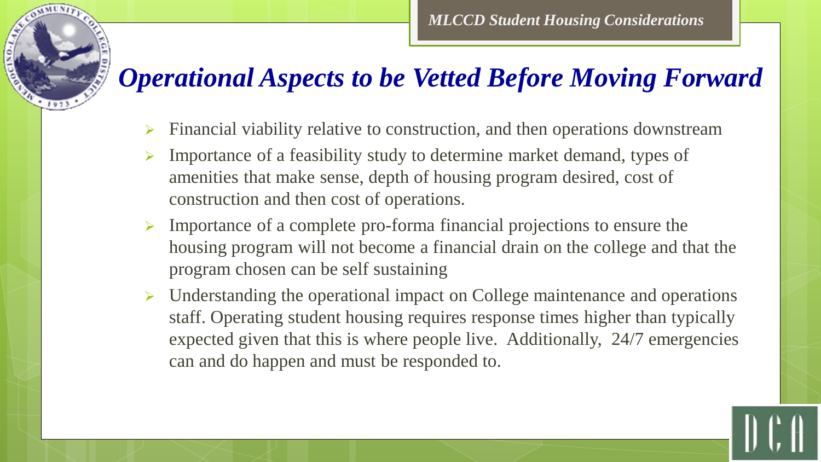#### *Operational Aspects to be Vetted Before Moving Forward*

- Financial viability relative to construction, and then operations downstream
- $\triangleright$  Importance of a feasibility study to determine market demand, types of amenities that make sense, depth of housing program desired, cost of construction and then cost of operations.
- $\triangleright$  Importance of a complete pro-forma financial projections to ensure the housing program will not become a financial drain on the college and that the program chosen can be self sustaining
- $\triangleright$  Understanding the operational impact on College maintenance and operations staff. Operating student housing requires response times higher than typically expected given that this is where people live. Additionally, 24/7 emergencies can and do happen and must be responded to.